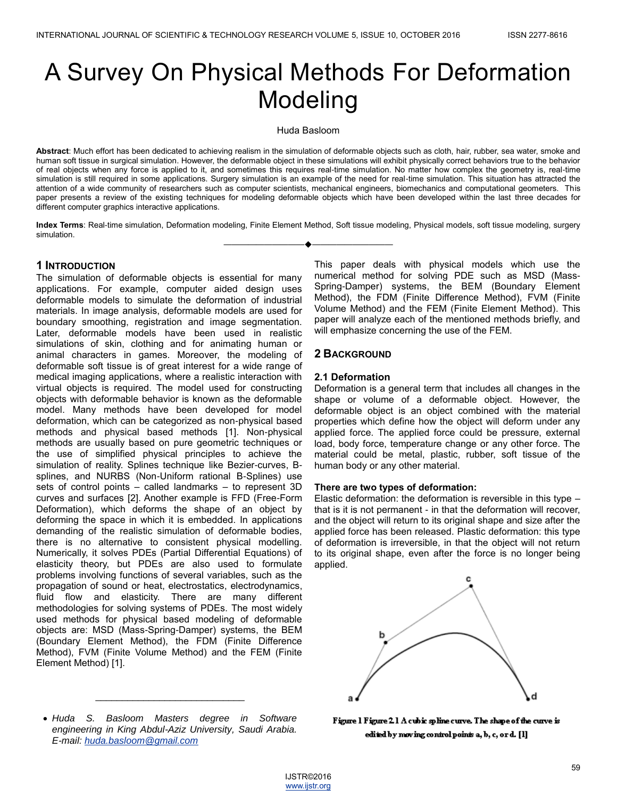# A Survey On Physical Methods For Deformation Modeling

Huda Basloom

**Abstract**: Much effort has been dedicated to achieving realism in the simulation of deformable objects such as cloth, hair, rubber, sea water, smoke and human soft tissue in surgical simulation. However, the deformable object in these simulations will exhibit physically correct behaviors true to the behavior of real objects when any force is applied to it, and sometimes this requires real-time simulation. No matter how complex the geometry is, real-time simulation is still required in some applications. Surgery simulation is an example of the need for real-time simulation. This situation has attracted the attention of a wide community of researchers such as computer scientists, mechanical engineers, biomechanics and computational geometers. This paper presents a review of the existing techniques for modeling deformable objects which have been developed within the last three decades for different computer graphics interactive applications.

**Index Terms**: Real-time simulation, Deformation modeling, Finite Element Method, Soft tissue modeling, Physical models, soft tissue modeling, surgery simulation. ————————————————————

## **1 INTRODUCTION**

The simulation of deformable objects is essential for many applications. For example, computer aided design uses deformable models to simulate the deformation of industrial materials. In image analysis, deformable models are used for boundary smoothing, registration and image segmentation. Later, deformable models have been used in realistic simulations of skin, clothing and for animating human or animal characters in games. Moreover, the modeling of deformable soft tissue is of great interest for a wide range of medical imaging applications, where a realistic interaction with virtual objects is required. The model used for constructing objects with deformable behavior is known as the deformable model. Many methods have been developed for model deformation, which can be categorized as non-physical based methods and physical based methods [1]. Non-physical methods are usually based on pure geometric techniques or the use of simplified physical principles to achieve the simulation of reality. Splines technique like Bezier-curves, Bsplines, and NURBS (Non-Uniform rational B-Splines) use sets of control points – called landmarks – to represent 3D curves and surfaces [2]. Another example is FFD (Free-Form Deformation), which deforms the shape of an object by deforming the space in which it is embedded. In applications demanding of the realistic simulation of deformable bodies, there is no alternative to consistent physical modelling. Numerically, it solves PDEs (Partial Differential Equations) of elasticity theory, but PDEs are also used to formulate problems involving functions of several variables, such as the propagation of [sound](http://en.wikipedia.org/wiki/Sound) or [heat,](http://en.wikipedia.org/wiki/Heat) [electrostatics,](http://en.wikipedia.org/wiki/Electrostatics) [electrodynamics,](http://en.wikipedia.org/wiki/Electrodynamics) [fluid flow](http://en.wikipedia.org/wiki/Fluid_flow) and [elasticity.](http://en.wikipedia.org/wiki/Elasticity_(physics)) There are many different methodologies for solving systems of PDEs. The most widely used methods for physical based modeling of deformable objects are: MSD (Mass-Spring-Damper) systems, the BEM (Boundary Element Method), the FDM (Finite Difference Method), FVM (Finite Volume Method) and the FEM (Finite Element Method) [1].

 *Huda S. Basloom Masters degree in Software engineering in King Abdul-Aziz University, Saudi Arabia. E-mail: huda.basloom@gmail.com*

 $\overline{\phantom{a}}$  , where  $\overline{\phantom{a}}$  , where  $\overline{\phantom{a}}$  , where  $\overline{\phantom{a}}$ 

This paper deals with physical models which use the numerical method for solving PDE such as MSD (Mass-Spring-Damper) systems, the BEM (Boundary Element Method), the FDM (Finite Difference Method), FVM (Finite Volume Method) and the FEM (Finite Element Method). This paper will analyze each of the mentioned methods briefly, and will emphasize concerning the use of the FEM.

## **2 BACKGROUND**

### **2.1 Deformation**

Deformation is a general term that includes all changes in the shape or volume of a deformable object. However, the deformable object is an object combined with the material properties which define how the object will deform under any applied force. The applied force could be pressure, external load, body force, temperature change or any other force. The material could be metal, plastic, rubber, soft tissue of the human body or any other material.

#### **There are two types of deformation:**

Elastic deformation: the deformation is reversible in this type – that is it is not permanent - in that the deformation will recover, and the object will return to its original shape and size after the applied force has been released. Plastic deformation: this type of deformation is irreversible, in that the object will not return to its original shape, even after the force is no longer being applied.



Figure 1 Figure 2.1 A cubic spline curve. The shape of the curve is edited by moving control points a, b, c, or d. [1]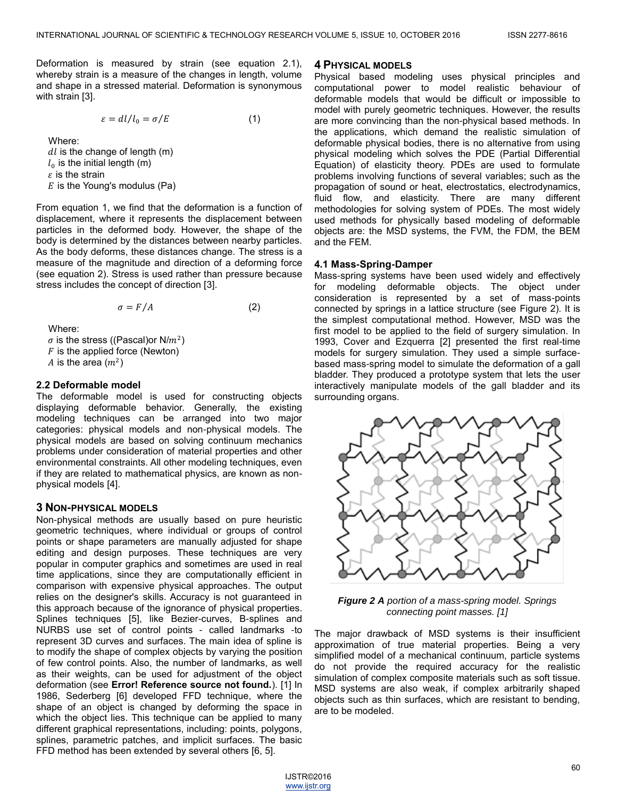Deformation is measured by strain (see equation 2.1), whereby strain is a measure of the changes in length, volume and shape in a stressed material. Deformation is synonymous with strain [3].

$$
\varepsilon = dl/l_0 = \sigma/E \tag{1}
$$

Where:

 $dl$  is the change of length (m)  $l_0$  is the initial length (m)  $\varepsilon$  is the strain  $E$  is the Young's modulus (Pa)

From equation 1, we find that the deformation is a function of displacement, where it represents the displacement between particles in the deformed body. However, the shape of the body is determined by the distances between nearby particles. As the body deforms, these distances change. The stress is a measure of the magnitude and direction of a deforming force (see equation 2). Stress is used rather than pressure because stress includes the concept of direction [3].

$$
\sigma = F/A \tag{2}
$$

Where:

 $\sigma$  is the stress ((Pascal)or N/ $m^2$ )  $F$  is the applied force (Newton) A is the area  $(m^2)$ 

#### **2.2 Deformable model**

The deformable model is used for constructing objects displaying deformable behavior. Generally, the existing modeling techniques can be arranged into two major categories: physical models and non-physical models. The physical models are based on solving continuum mechanics problems under consideration of material properties and other environmental constraints. All other modeling techniques, even if they are related to mathematical physics, are known as nonphysical models [4].

## **3 NON-PHYSICAL MODELS**

Non-physical methods are usually based on pure heuristic geometric techniques, where individual or groups of control points or shape parameters are manually adjusted for shape editing and design purposes. These techniques are very popular in computer graphics and sometimes are used in real time applications, since they are computationally efficient in comparison with expensive physical approaches. The output relies on the designer's skills. Accuracy is not guaranteed in this approach because of the ignorance of physical properties. Splines techniques [5], like Bezier-curves, B-splines and NURBS use set of control points - called landmarks -to represent 3D curves and surfaces. The main idea of spline is to modify the shape of complex objects by varying the position of few control points. Also, the number of landmarks, as well as their weights, can be used for adjustment of the object deformation (see **Error! Reference source not found.**). [1] In 1986, Sederberg [6] developed FFD technique, where the shape of an object is changed by deforming the space in which the object lies. This technique can be applied to many different graphical representations, including: points, polygons, splines, parametric patches, and implicit surfaces. The basic FFD method has been extended by several others [6, 5].

#### **4 PHYSICAL MODELS**

Physical based modeling uses physical principles and computational power to model realistic behaviour of deformable models that would be difficult or impossible to model with purely geometric techniques. However, the results are more convincing than the non-physical based methods. In the applications, which demand the realistic simulation of deformable physical bodies, there is no alternative from using physical modeling which solves the PDE (Partial Differential Equation) of elasticity theory. PDEs are used to formulate problems involving functions of several variables; such as the propagation of [sound](http://en.wikipedia.org/wiki/Sound) or [heat,](http://en.wikipedia.org/wiki/Heat) [electrostatics,](http://en.wikipedia.org/wiki/Electrostatics) [electrodynamics,](http://en.wikipedia.org/wiki/Electrodynamics) [fluid flow,](http://en.wikipedia.org/wiki/Fluid_flow) and [elasticity.](http://en.wikipedia.org/wiki/Elasticity_(physics)) There are many different methodologies for solving system of PDEs. The most widely used methods for physically based modeling of deformable objects are: the MSD systems, the FVM, the FDM, the BEM and the FEM.

#### **4.1 Mass-Spring-Damper**

Mass-spring systems have been used widely and effectively for modeling deformable objects. The object under consideration is represented by a set of mass-points connected by springs in a lattice structure (see Figure 2). It is the simplest computational method. However, MSD was the first model to be applied to the field of surgery simulation. In 1993, Cover and Ezquerra [2] presented the first real-time models for surgery simulation. They used a simple surfacebased mass-spring model to simulate the deformation of a gall bladder. They produced a prototype system that lets the user interactively manipulate models of the gall bladder and its surrounding organs.



*Figure 2 A portion of a mass-spring model. Springs connecting point masses. [1]*

The major drawback of MSD systems is their insufficient approximation of true material properties. Being a very simplified model of a mechanical continuum, particle systems do not provide the required accuracy for the realistic simulation of complex composite materials such as soft tissue. MSD systems are also weak, if complex arbitrarily shaped objects such as thin surfaces, which are resistant to bending, are to be modeled.

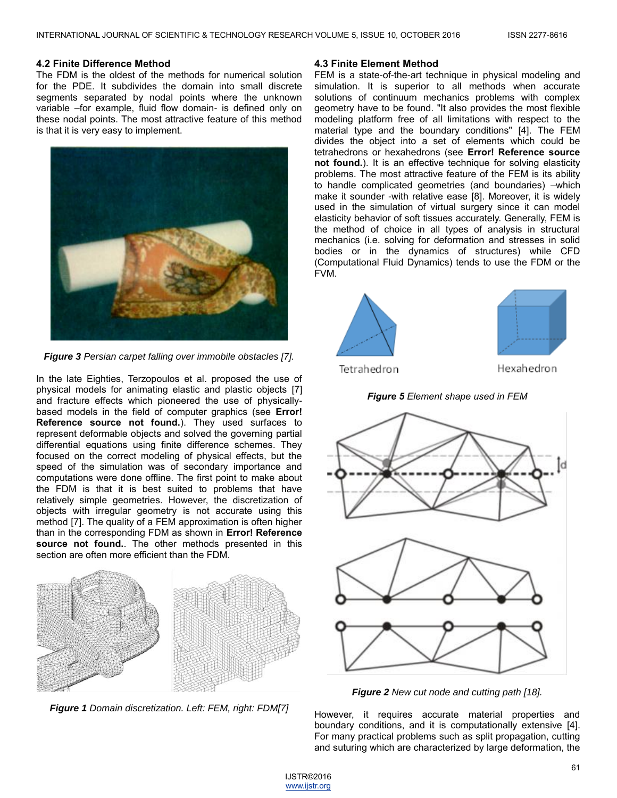#### **4.2 Finite Difference Method**

The FDM is the oldest of the methods for numerical solution for the PDE. It subdivides the domain into small discrete segments separated by nodal points where the unknown variable –for example, fluid flow domain- is defined only on these nodal points. The most attractive feature of this method is that it is very easy to implement.



*Figure 3 Persian carpet falling over immobile obstacles [7].*

In the late Eighties, Terzopoulos et al. proposed the use of physical models for animating elastic and plastic objects [7] and fracture effects which pioneered the use of physicallybased models in the field of computer graphics (see **Error! Reference source not found.**). They used surfaces to represent deformable objects and solved the governing partial differential equations using finite difference schemes. They focused on the correct modeling of physical effects, but the speed of the simulation was of secondary importance and computations were done offline. The first point to make about the FDM is that it is best suited to problems that have relatively simple geometries. However, the discretization of objects with irregular geometry is not accurate using this method [7]. The quality of a FEM approximation is often higher than in the corresponding FDM as shown in **Error! Reference source not found.**. The other methods presented in this section are often more efficient than the FDM.



*Figure 1 Domain discretization. Left: FEM, right: FDM[7]*

#### **4.3 Finite Element Method**

FEM is a state-of-the-art technique in physical modeling and simulation. It is superior to all methods when accurate solutions of continuum mechanics problems with complex geometry have to be found. "It also provides the most flexible modeling platform free of all limitations with respect to the material type and the boundary conditions" [4]. The FEM divides the object into a set of elements which could be tetrahedrons or hexahedrons (see **Error! Reference source not found.**). It is an effective technique for solving elasticity problems. The most attractive feature of the FEM is its ability to handle complicated geometries (and boundaries) –which make it sounder -with relative ease [8]. Moreover, it is widely used in the simulation of virtual surgery since it can model elasticity behavior of soft tissues accurately. Generally, FEM is the method of choice in all types of analysis in structural mechanics (i.e. solving for deformation and stresses in solid bodies or in the dynamics of structures) while CFD (Computational Fluid Dynamics) tends to use the FDM or the FVM.



Tetrahedron



Hexahedron

*Figure 5 Element shape used in FEM*



*Figure 2 New cut node and cutting path [18].*

However, it requires accurate material properties and boundary conditions, and it is computationally extensive [4]. For many practical problems such as split propagation, cutting and suturing which are characterized by large deformation, the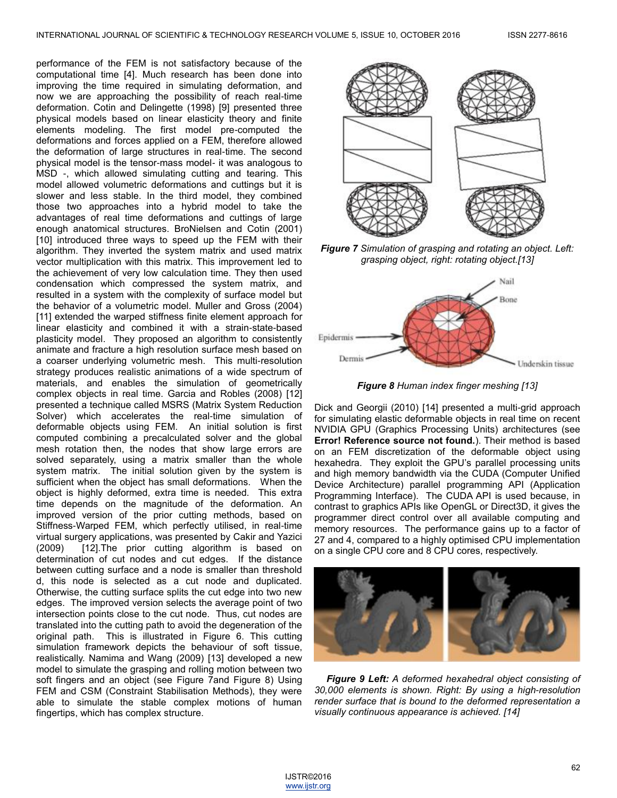performance of the FEM is not satisfactory because of the computational time [4]. Much research has been done into improving the time required in simulating deformation, and now we are approaching the possibility of reach real-time deformation. Cotin and Delingette (1998) [9] presented three physical models based on linear elasticity theory and finite elements modeling. The first model pre-computed the deformations and forces applied on a FEM, therefore allowed the deformation of large structures in real-time. The second physical model is the tensor-mass model- it was analogous to MSD -, which allowed simulating cutting and tearing. This model allowed volumetric deformations and cuttings but it is slower and less stable. In the third model, they combined those two approaches into a hybrid model to take the advantages of real time deformations and cuttings of large enough anatomical structures. BroNielsen and Cotin (2001) [10] introduced three ways to speed up the FEM with their algorithm. They inverted the system matrix and used matrix vector multiplication with this matrix. This improvement led to the achievement of very low calculation time. They then used condensation which compressed the system matrix, and resulted in a system with the complexity of surface model but the behavior of a volumetric model. Muller and Gross (2004) [11] extended the warped stiffness finite element approach for linear elasticity and combined it with a strain-state-based plasticity model. They proposed an algorithm to consistently animate and fracture a high resolution surface mesh based on a coarser underlying volumetric mesh. This multi-resolution strategy produces realistic animations of a wide spectrum of materials, and enables the simulation of geometrically complex objects in real time. Garcia and Robles (2008) [12] presented a technique called MSRS (Matrix System Reduction Solver) which accelerates the real-time simulation of deformable objects using FEM. An initial solution is first computed combining a precalculated solver and the global mesh rotation then, the nodes that show large errors are solved separately, using a matrix smaller than the whole system matrix. The initial solution given by the system is sufficient when the object has small deformations. When the object is highly deformed, extra time is needed. This extra time depends on the magnitude of the deformation. An improved version of the prior cutting methods, based on Stiffness-Warped FEM, which perfectly utilised, in real-time virtual surgery applications, was presented by Cakir and Yazici (2009) [12].The prior cutting algorithm is based on determination of cut nodes and cut edges. If the distance between cutting surface and a node is smaller than threshold d, this node is selected as a cut node and duplicated. Otherwise, the cutting surface splits the cut edge into two new edges. The improved version selects the average point of two intersection points close to the cut node. Thus, cut nodes are translated into the cutting path to avoid the degeneration of the original path. This is illustrated in Figure 6. This cutting simulation framework depicts the behaviour of soft tissue, realistically. Namima and Wang (2009) [13] developed a new model to simulate the grasping and rolling motion between two soft fingers and an object (see Figure 7and Figure 8) Using FEM and CSM (Constraint Stabilisation Methods), they were able to simulate the stable complex motions of human fingertips, which has complex structure.



*Figure 7 Simulation of grasping and rotating an object. Left: grasping object, right: rotating object.[13]*



*Figure 8 Human index finger meshing [13]*

Dick and Georgii (2010) [14] presented a multi-grid approach for simulating elastic deformable objects in real time on recent NVIDIA GPU (Graphics Processing Units) architectures (see **Error! Reference source not found.**). Their method is based on an FEM discretization of the deformable object using hexahedra. They exploit the GPU's parallel processing units and high memory bandwidth via the CUDA (Computer Unified Device Architecture) parallel programming API (Application Programming Interface). The CUDA API is used because, in contrast to graphics APIs like OpenGL or Direct3D, it gives the programmer direct control over all available computing and memory resources. The performance gains up to a factor of 27 and 4, compared to a highly optimised CPU implementation on a single CPU core and 8 CPU cores, respectively.



*Figure 9 Left: A deformed hexahedral object consisting of 30,000 elements is shown. Right: By using a high-resolution render surface that is bound to the deformed representation a visually continuous appearance is achieved. [14]*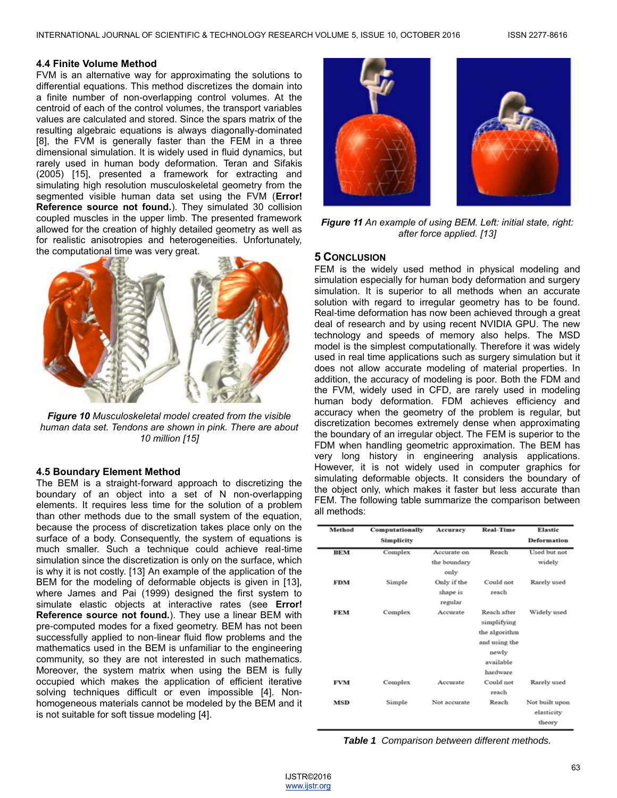#### **4.4 Finite Volume Method**

FVM is an alternative way for approximating the solutions to differential equations. This method discretizes the domain into a finite number of non-overlapping control volumes. At the centroid of each of the control volumes, the transport variables values are calculated and stored. Since the spars matrix of the resulting algebraic equations is always diagonally-dominated [8], the FVM is generally faster than the FEM in a three dimensional simulation. It is widely used in fluid dynamics, but rarely used in human body deformation. Teran and Sifakis (2005) [15], presented a framework for extracting and simulating high resolution musculoskeletal geometry from the segmented visible human data set using the FVM (**Error! Reference source not found.**). They simulated 30 collision coupled muscles in the upper limb. The presented framework allowed for the creation of highly detailed geometry as well as for realistic anisotropies and heterogeneities. Unfortunately, the computational time was very great.



*Figure 10 Musculoskeletal model created from the visible human data set. Tendons are shown in pink. There are about 10 million [15]*

## **4.5 Boundary Element Method**

The BEM is a straight-forward approach to discretizing the boundary of an object into a set of N non-overlapping elements. It requires less time for the solution of a problem than other methods due to the small system of the equation, because the process of discretization takes place only on the surface of a body. Consequently, the system of equations is much smaller. Such a technique could achieve real-time simulation since the discretization is only on the surface, which is why it is not costly. [13] An example of the application of the BEM for the modeling of deformable objects is given in [13], where James and Pai (1999) designed the first system to simulate elastic objects at interactive rates (see **Error! Reference source not found.**). They use a linear BEM with pre-computed modes for a fixed geometry. BEM has not been successfully applied to non-linear fluid flow problems and the mathematics used in the BEM is unfamiliar to the engineering community, so they are not interested in such mathematics. Moreover, the system matrix when using the BEM is fully occupied which makes the application of efficient iterative solving techniques difficult or even impossible [4]. Nonhomogeneous materials cannot be modeled by the BEM and it is not suitable for soft tissue modeling [4].



*Figure 11 An example of using BEM. Left: initial state, right: after force applied. [13]*

### **5 CONCLUSION**

FEM is the widely used method in physical modeling and simulation especially for human body deformation and surgery simulation. It is superior to all methods when an accurate solution with regard to irregular geometry has to be found. Real-time deformation has now been achieved through a great deal of research and by using recent NVIDIA GPU. The new technology and speeds of memory also helps. The MSD model is the simplest computationally. Therefore it was widely used in real time applications such as surgery simulation but it does not allow accurate modeling of material properties. In addition, the accuracy of modeling is poor. Both the FDM and the FVM, widely used in CFD, are rarely used in modeling human body deformation. FDM achieves efficiency and accuracy when the geometry of the problem is regular, but discretization becomes extremely dense when approximating the boundary of an irregular object. The FEM is superior to the FDM when handling geometric approximation. The BEM has very long history in engineering analysis applications. However, it is not widely used in computer graphics for simulating deformable objects. It considers the boundary of the object only, which makes it faster but less accurate than FEM. The following table summarize the comparison between all methods:

| Method     | Computationally | Accuracy     | <b>Real-Time</b> | Elastic        |
|------------|-----------------|--------------|------------------|----------------|
|            | Simplicity      |              |                  | Deformation    |
| <b>BEM</b> | Complex         | Accurate on  | Reach            | Used but not   |
|            |                 | the boundary |                  | widely         |
|            |                 | only         |                  |                |
| <b>FDM</b> | Simple          | Only if the  | Could not        | Rarely used    |
|            |                 | shape is     | reach            |                |
|            |                 | regular      |                  |                |
| <b>FEM</b> | Complex         | Accurate     | Reach after      | Widely used    |
|            |                 |              | simplifying      |                |
|            |                 |              | the algorithm    |                |
|            |                 |              | and using the    |                |
|            |                 |              | newly            |                |
|            |                 |              | available        |                |
|            |                 |              | hardware         |                |
| <b>FVM</b> | Complex         | Accurate     | Could not        | Rarely used    |
|            |                 |              | reach            |                |
| <b>MSD</b> | Simple          | Not accurate | Reach            | Not built upon |
|            |                 |              |                  | elasticity     |
|            |                 |              |                  | theory         |

*Table 1 Comparison between different methods.*